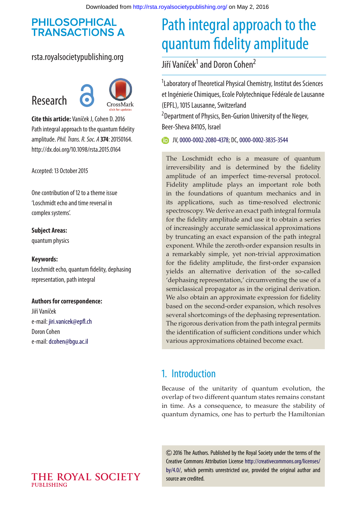## **PHILOSOPHICAL TRANSACTIONS A**

## rsta.royalsocietypublishing.org



**Cite this article:** Vaníček J, Cohen D. 2016 Path integral approach to the quantum fidelity amplitude.*Phil. Trans. R. Soc. A* **374**: 20150164. http://dx.doi.org/10.1098/rsta.2015.0164

Accepted: 13 October 2015

One contribution of 12 to a theme issue 'Loschmidt echo and time reversal in complex systems'.

**Subject Areas:** quantum physics

#### **Keywords:**

Loschmidt echo, quantum fidelity, dephasing representation, path integral

#### **Authors for correspondence:**

Jiří Vaníček e-mail: [jiri.vanicek@epfl.ch](mailto:jiri.vanicek@epfl.ch) Doron Cohen e-mail: [dcohen@bgu.ac.il](mailto:dcohen@bgu.ac.il)

# Path integral approach to the quantum fidelity amplitude

# Jiří Vaníček<sup>1</sup> and Doron Cohen<sup>2</sup>

<sup>1</sup> Laboratory of Theoretical Physical Chemistry, Institut des Sciences et Ingénierie Chimiques, Ecole Polytechnique Fédérale de Lausanne (EPFL), 1015 Lausanne, Switzerland <sup>2</sup> Department of Physics, Ben-Gurion University of the Negev,

Beer-Sheva 84105, Israel

JV,[0000-0002-2080-4378;](http://orcid.org/0000-0002-2080-4378) DC,[0000-0002-3835-3544](http://orcid.org/0000-0002-3835-3544)

The Loschmidt echo is a measure of quantum irreversibility and is determined by the fidelity amplitude of an imperfect time-reversal protocol. Fidelity amplitude plays an important role both in the foundations of quantum mechanics and in its applications, such as time-resolved electronic spectroscopy. We derive an exact path integral formula for the fidelity amplitude and use it to obtain a series of increasingly accurate semiclassical approximations by truncating an exact expansion of the path integral exponent. While the zeroth-order expansion results in a remarkably simple, yet non-trivial approximation for the fidelity amplitude, the first-order expansion yields an alternative derivation of the so-called 'dephasing representation,' circumventing the use of a semiclassical propagator as in the original derivation. We also obtain an approximate expression for fidelity based on the second-order expansion, which resolves several shortcomings of the dephasing representation. The rigorous derivation from the path integral permits the identification of sufficient conditions under which various approximations obtained become exact.

# 1. Introduction

Because of the unitarity of quantum evolution, the overlap of two different quantum states remains constant in time. As a consequence, to measure the stability of quantum dynamics, one has to perturb the Hamiltonian

2016 The Authors. Published by the Royal Society under the terms of the Creative Commons Attribution License [http://creativecommons.org/licenses/](http://creativecommons.org/licenses/by/4.0/) [by/4.0/,](http://creativecommons.org/licenses/by/4.0/) which permits unrestricted use, provided the original author and source are credited.

#### THE ROYAL SOCIETY **PUBLISHING**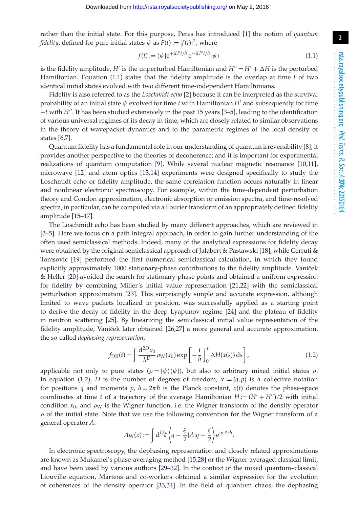rather than the initial state. For this purpose, Peres has introduced [\[1\]](#page-12-0) the notion of *quantum fidelity*, defined for pure initial states  $\psi$  as  $F(t) := |f(t)|^2$ , where

$$
f(t) := \langle \psi | e^{+iH'/\hbar} e^{-iH''t/\hbar} | \psi \rangle \tag{1.1}
$$

is the fidelity amplitude, *H'* is the unperturbed Hamiltonian and  $H'' = H' + \Delta H$  is the perturbed Hamiltonian. Equation (1.1) states that the fidelity amplitude is the overlap at time *t* of two identical initial states evolved with two different time-independent Hamiltonians.

Fidelity is also referred to as the *Loschmidt echo* [\[2\]](#page-12-1) because it can be interpreted as the survival probability of an initial state  $\psi$  evolved for time *t* with Hamiltonian *H'* and subsequently for time −*t* with *H*. It has been studied extensively in the past 15 years [\[3](#page-12-2)[–5\]](#page-12-3), leading to the identification of various universal regimes of its decay in time, which are closely related to similar observations in the theory of wavepacket dynamics and to the parametric regimes of the local density of states [\[6](#page-12-4)[,7\]](#page-12-5).

Quantum fidelity has a fundamental role in our understanding of quantum irreversibility [\[8\]](#page-12-6); it provides another perspective to the theories of decoherence; and it is important for experimental realizations of quantum computation [\[9\]](#page-12-7). While several nuclear magnetic resonance [\[10,](#page-12-8)[11\]](#page-12-9), microwave [\[12\]](#page-12-10) and atom optics [\[13](#page-12-11)[,14\]](#page-13-0) experiments were designed specifically to study the Loschmidt echo or fidelity amplitude, the same correlation function occurs naturally in linear and nonlinear electronic spectroscopy. For example, within the time-dependent perturbation theory and Condon approximation, electronic absorption or emission spectra, and time-resolved spectra, in particular, can be computed via a Fourier transform of an appropriately defined fidelity amplitude [\[15](#page-13-1)[–17\]](#page-13-2).

The Loschmidt echo has been studied by many different approaches, which are reviewed in [\[3–](#page-12-2)[5\]](#page-12-3). Here we focus on a path integral approach, in order to gain further understanding of the often used semiclassical methods. Indeed, many of the analytical expressions for fidelity decay were obtained by the original semiclassical approach of Jalabert & Pastawski [\[18\]](#page-13-3), while Cerruti & Tomsovic [\[19\]](#page-13-4) performed the first numerical semiclassical calculation, in which they found explicitly approximately 1000 stationary-phase contributions to the fidelity amplitude. Vaníček & Heller [\[20\]](#page-13-5) avoided the search for stationary-phase points and obtained a uniform expression for fidelity by combining Miller's initial value representation [\[21,](#page-13-6)[22\]](#page-13-7) with the semiclassical perturbation approximation [\[23\]](#page-13-8). This surprisingly simple and accurate expression, although limited to wave packets localized in position, was successfully applied as a starting point to derive the decay of fidelity in the deep Lyapunov regime [\[24\]](#page-13-9) and the plateau of fidelity in neutron scattering [\[25\]](#page-13-10). By linearizing the semiclassical initial value representation of the fidelity amplitude, Vaníček later obtained [\[26](#page-13-11)[,27\]](#page-13-12) a more general and accurate approximation, the so-called *dephasing representation*,

$$
f_{\text{DR}}(t) = \int \frac{d^{2D}x_0}{h^D} \rho_{\text{W}}(x_0) \exp\left[-\frac{i}{\hbar} \int_0^t \Delta H(x(s)) \,\mathrm{d}s\right],\tag{1.2}
$$

applicable not only to pure states  $(\rho = |\psi\rangle \langle \psi|)$ , but also to arbitrary mixed initial states  $\rho$ . In equation (1.2), *D* is the number of degrees of freedom,  $x := (q, p)$  is a collective notation for positions *q* and momenta *p*,  $h = 2\pi \hbar$  is the Planck constant,  $x(t)$  denotes the phase-space coordinates at time *t* of a trajectory of the average Hamiltonian  $H := (H' + H'')/2$  with initial condition  $x_0$ , and  $\rho_W$  is the Wigner function, i.e. the Wigner transform of the density operator  $\rho$  of the initial state. Note that we use the following convention for the Wigner transform of a general operator *A*:

$$
A_{\rm W}(x):=\int\mathrm{d}^D\xi\left\langle q-\frac{\xi}{2}|A|q+\frac{\xi}{2}\right\rangle\mathrm{e}^{\mathrm{i}p\cdot\xi/\hbar}.
$$

In electronic spectroscopy, the dephasing representation and closely related approximations are known as Mukamel's phase-averaging method [\[15](#page-13-1)[,28\]](#page-13-13) or the Wigner-averaged classical limit, and have been used by various authors [\[29–](#page-13-14)[32\]](#page-13-15). In the context of the mixed quantum–classical Liouville equation, Martens and co-workers obtained a similar expression for the evolution of coherences of the density operator [\[33,](#page-13-16)[34\]](#page-13-17). In the field of quantum chaos, the dephasing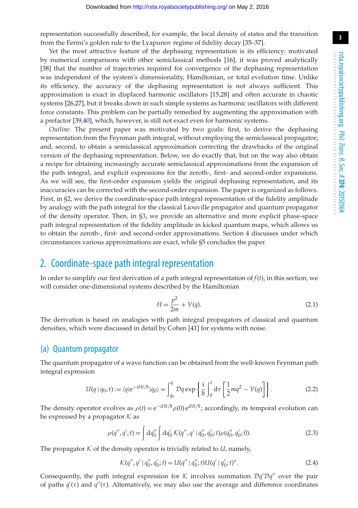representation successfully described, for example, the local density of states and the transition from the Fermi's golden rule to the Lyapunov regime of fidelity decay [\[35–](#page-13-18)[37\]](#page-13-19).

Yet the most attractive feature of the dephasing representation is its efficiency: motivated by numerical comparisons with other semiclassical methods [\[16\]](#page-13-20), it was proved analytically [\[38\]](#page-13-21) that the number of trajectories required for convergence of the dephasing representation was independent of the system's dimensionality, Hamiltonian, or total evolution time. Unlike its efficiency, the accuracy of the dephasing representation is not always sufficient. This approximation is exact in displaced harmonic oscillators [\[15,](#page-13-1)[28\]](#page-13-13) and often accurate in chaotic systems [\[26,](#page-13-11)[27\]](#page-13-12), but it breaks down in such simple systems as harmonic oscillators with different force constants. This problem can be partially remedied by augmenting the approximation with a prefactor [\[39,](#page-13-22)[40\]](#page-14-0), which, however, is still not exact even for harmonic systems.

*Outline*. The present paper was motivated by two goals: first, to derive the dephasing representation from the Feynman path integral, without employing the semiclassical propagator; and, second, to obtain a semiclassical approximation correcting the drawbacks of the original version of the dephasing representation. Below, we do exactly that, but on the way also obtain a recipe for obtaining increasingly accurate semiclassical approximations from the expansion of the path integral, and explicit expressions for the zeroth-, first- and second-order expansions. As we will see, the first-order expansion yields the original dephasing representation, and its inaccuracies can be corrected with the second-order expansion. The paper is organized as follows. First, in §2, we derive the coordinate-space path integral representation of the fidelity amplitude by analogy with the path integral for the classical Liouville propagator and quantum propagator of the density operator. Then, in §3, we provide an alternative and more explicit phase-space path integral representation of the fidelity amplitude in kicked quantum maps, which allows us to obtain the zeroth-, first- and second-order approximations. Section 4 discusses under which circumstances various approximations are exact, while §5 concludes the paper.

## 2. Coordinate-space path integral representation

In order to simplify our first derivation of a path integral representation of  $f(t)$ , in this section, we will consider one-dimensional systems described by the Hamiltonian

$$
H = \frac{p^2}{2m} + V(q). \tag{2.1}
$$

The derivation is based on analogies with path integral propagators of classical and quantum densities, which were discussed in detail by Cohen [\[41\]](#page-14-1) for systems with noise.

#### (a) Quantum propagator

The quantum propagator of a wave function can be obtained from the well-known Feynman path integral expression

$$
U(q \mid q_0; t) := \langle q | e^{-iHt/\hbar} | q_0 \rangle = \int_{q_0}^q \mathcal{D}q \exp\left\{ \frac{i}{\hbar} \int_0^t \mathrm{d}\tau \left[ \frac{1}{2} m \dot{q}^2 - V(q) \right] \right\}.
$$
 (2.2)

The density operator evolves as  $\rho(t) = e^{-iHt/\hbar} \rho(0) e^{iHt/\hbar}$ ; accordingly, its temporal evolution can be expressed by a propagator  $K$  as

$$
\rho(q'', q'; t) = \int dq_0'' \int dq_0' K(q'', q' \mid q_0'', q_0'; t) \rho(q_0'', q_0'; 0).
$$
 (2.3)

The propagator  $K$  of the density operator is trivially related to  $U$ , namely,

$$
\mathcal{K}(q'', q' \mid q_0'', q_0'; t) = U(q'' \mid q_0''; t)U(q' \mid q_0'; t)^*.
$$
\n(2.4)

Consequently, the path integral expression for *K* involves summation  $Dq'Dq''$  over the pair of paths  $q'(\tau)$  and  $q''(\tau)$ . Alternatively, we may also use the average and difference coordinates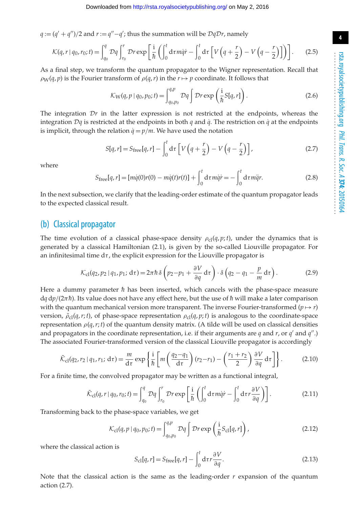*q* := (*q*<sup>'</sup> + *q*<sup>''</sup>)/2 and *r* := *q*<sup>''</sup>−*q*<sup>'</sup>; thus the summation will be *DqDr*, namely

$$
\mathcal{K}(q,r \mid q_0, r_0; t) = \int_{q_0}^{q} \mathcal{D}q \int_{r_0}^{r} \mathcal{D}r \exp\left[\frac{i}{\hbar} \left(\int_0^t \mathrm{d}\tau \, m\dot{q} \dot{r} - \int_0^t \mathrm{d}\tau \left[V\left(q + \frac{r}{2}\right) - V\left(q - \frac{r}{2}\right)\right]\right)\right].\tag{2.5}
$$

As a final step, we transform the quantum propagator to the Wigner representation. Recall that  $\rho_W(q, p)$  is the Fourier transform of  $\rho(q, r)$  in the  $r \mapsto p$  coordinate. It follows that

$$
\mathcal{K}_{\mathcal{W}}(q, p \mid q_0, p_0; t) = \int_{q_0, p_0}^{q, p} \mathcal{D}q \int \mathcal{D}r \exp\left(\frac{i}{\hbar} S[q, r]\right). \tag{2.6}
$$

The integration  $\mathcal{D}r$  in the latter expression is not restricted at the endpoints, whereas the integration  $\mathcal{D}q$  is restricted at the endpoints in both *q* and *q*<sup> $i$ </sup>. The restriction on *q*<sup> $i$ </sup> at the endpoints is implicit, through the relation  $\dot{q} = p/m$ . We have used the notation

$$
S[q,r] = S_{\text{free}}[q,r] - \int_0^t \mathrm{d}\tau \left[ V\left(q + \frac{r}{2}\right) - V\left(q - \frac{r}{2}\right) \right],\tag{2.7}
$$

where

$$
S_{\text{free}}[q, r] = [m\dot{q}(0)r(0) - m\dot{q}(t)r(t)] + \int_0^t d\tau m \dot{q} \dot{r} = -\int_0^t d\tau m \ddot{q}r.
$$
 (2.8)

In the next subsection, we clarify that the leading-order estimate of the quantum propagator leads to the expected classical result.

## (b) Classical propagator

The time evolution of a classical phase-space density  $\rho_{\rm cl}(q, p; t)$ , under the dynamics that is generated by a classical Hamiltonian (2.1), is given by the so-called Liouville propagator. For an infinitesimal time  $d\tau$ , the explicit expression for the Liouville propagator is

$$
\mathcal{K}_{\text{cl}}(q_2, p_2 \mid q_1, p_1; \, \text{d}\tau) = 2\pi \hbar \,\delta \left( p_2 - p_1 + \frac{\partial V}{\partial q} \, \text{d}\tau \right) \cdot \delta \left( q_2 - q_1 - \frac{p}{m} \, \text{d}\tau \right). \tag{2.9}
$$

Here a dummy parameter  $\hbar$  has been inserted, which cancels with the phase-space measure  $dq dp/(2\pi\hbar)$ . Its value does not have any effect here, but the use of  $\hbar$  will make a later comparison with the quantum mechanical version more transparent. The inverse Fourier-transformed  $(p \mapsto r)$ version,  $\tilde{\rho}_{cl}(q, r; t)$ , of phase-space representation  $\rho_{cl}(q, p; t)$  is analogous to the coordinate-space representation ρ(*q*,*r*;*t*) of the quantum density matrix. (A tilde will be used on classical densities and propagators in the coordinate representation, i.e. if their arguments are *q* and *r*, or *q'* and *q''*.) The associated Fourier-transformed version of the classical Liouville propagator is accordingly

$$
\tilde{\mathcal{K}}_{\text{cl}}(q_2, r_2 \mid q_1, r_1; \, \text{d}\tau) = \frac{m}{\text{d}\tau} \exp\left\{\frac{i}{\hbar} \left[ m \left( \frac{q_2 - q_1}{\text{d}\tau} \right) (r_2 - r_1) - \left( \frac{r_1 + r_2}{2} \right) \frac{\partial V}{\partial q} \, \text{d}\tau \right] \right\}.
$$
 (2.10)

For a finite time, the convolved propagator may be written as a functional integral,

$$
\tilde{\mathcal{K}}_{\text{cl}}(q, r \mid q_0, r_0; t) = \int_{q_0}^{q} \mathcal{D}q \int_{r_0}^{r} \mathcal{D}r \exp\left[\frac{i}{\hbar} \left(\int_0^t \mathrm{d}\tau m \dot{q} \dot{r} - \int_0^t \mathrm{d}\tau r \frac{\partial V}{\partial q}\right)\right].
$$
\n(2.11)

Transforming back to the phase-space variables, we get

$$
\mathcal{K}_{\text{cl}}(q, p \mid q_0, p_0; t) = \int_{q_0, p_0}^{q, p} \mathcal{D}q \int \mathcal{D}r \exp\left(\frac{i}{\hbar} S_{\text{cl}}[q, r]\right),\tag{2.12}
$$

where the classical action is

$$
S_{\text{cl}}[q, r] = S_{\text{free}}[q, r] - \int_0^t \mathrm{d}\tau r \frac{\partial V}{\partial q}.
$$
 (2.13)

Note that the classical action is the same as the leading-order *r* expansion of the quantum action (2.7).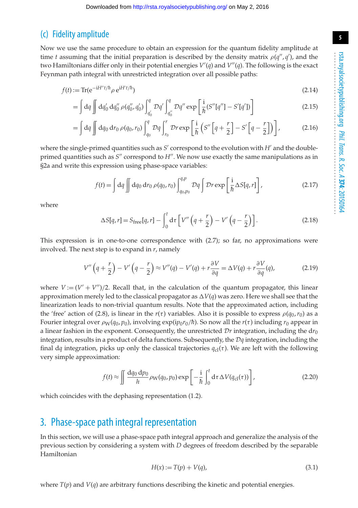## (c) Fidelity amplitude

Now we use the same procedure to obtain an expression for the quantum fidelity amplitude at time *t* assuming that the initial preparation is described by the density matrix  $\rho(q'', q')$ , and the two Hamiltonians differ only in their potential energies *V* (*q*) and *V*(*q*). The following is the exact Feynman path integral with unrestricted integration over all possible paths:

$$
f(t) := \text{Tr}(\mathbf{e}^{-\mathbf{i}H''t/\hbar} \rho \mathbf{e}^{\mathbf{i}H't/\hbar})
$$
\n(2.14)

$$
= \int dq \iint dq'_0 dq''_0 \rho(q''_0, q'_0) \int_{q'_0}^q Dq' \int_{q''_0}^q Dq'' \exp\left[\frac{i}{\hbar} (S''[q''] - S'[q'])\right]
$$
(2.15)

$$
= \int dq \iint dq_0 dr_0 \,\rho(q_0, r_0) \int_{q_0}^q \mathcal{D}q \int_{r_0}^r \mathcal{D}r \exp\left[\frac{i}{\hbar} \left(S''\left[q + \frac{r}{2}\right] - S'\left[q - \frac{r}{2}\right]\right)\right],\tag{2.16}
$$

where the single-primed quantities such as  $S'$  correspond to the evolution with  $H'$  and the doubleprimed quantities such as  $S''$  correspond to  $H''$ . We now use exactly the same manipulations as in §2a and write this expression using phase-space variables:

$$
f(t) = \int dq \iint dq_0 dr_0 \, \rho(q_0, r_0) \int_{q_0, p_0}^{q, p} \mathcal{D}q \int \mathcal{D}r \exp\left[\frac{i}{\hbar} \Delta S[q, r]\right],
$$
 (2.17)

where

$$
\Delta S[q, r] = S_{\text{free}}[q, r] - \int_0^t \mathrm{d}\tau \left[ V''\left(q + \frac{r}{2}\right) - V'\left(q - \frac{r}{2}\right) \right]. \tag{2.18}
$$

This expression is in one-to-one correspondence with (2.7); so far, no approximations were involved. The next step is to expand in *r*, namely

$$
V''\left(q+\frac{r}{2}\right)-V'\left(q-\frac{r}{2}\right)\approx V''(q)-V'(q)+r\frac{\partial V}{\partial q}=\Delta V(q)+r\frac{\partial V}{\partial q}(q),\tag{2.19}
$$

where  $V := (V' + V'')/2$ . Recall that, in the calculation of the quantum propagator, this linear approximation merely led to the classical propagator as  $\Delta V(q)$  was zero. Here we shall see that the linearization leads to non-trivial quantum results. Note that the approximated action, including the 'free' action of (2.8), is linear in the  $r(\tau)$  variables. Also it is possible to express  $\rho(q_0, r_0)$  as a Fourier integral over  $\rho_W(q_0, p_0)$ , involving  $\exp(ip_0r_0/\hbar)$ . So now all the  $r(\tau)$  including  $r_0$  appear in a linear fashion in the exponent. Consequently, the unrestricted  $Dr$  integration, including the  $dr_0$ integration, results in a product of delta functions. Subsequently, the *Dq* integration, including the final dq integration, picks up only the classical trajectories  $q_c(t)$ . We are left with the following very simple approximation:

$$
f(t) \approx \iint \frac{dq_0 dp_0}{h} \rho_W(q_0, p_0) \exp\left[-\frac{i}{\hbar} \int_0^t d\tau \Delta V(q_{cl}(\tau))\right],
$$
 (2.20)

which coincides with the dephasing representation (1.2).

## 3. Phase-space path integral representation

In this section, we will use a phase-space path integral approach and generalize the analysis of the previous section by considering a system with *D* degrees of freedom described by the separable Hamiltonian

$$
H(x) := T(p) + V(q),\tag{3.1}
$$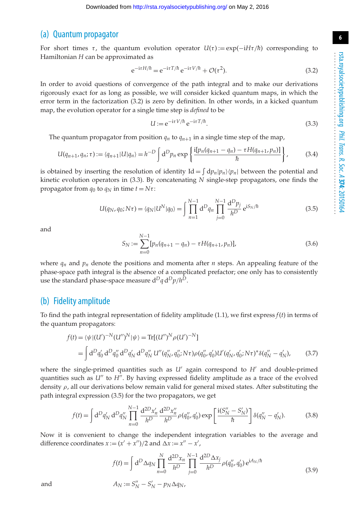### (a) Quantum propagator

For short times  $\tau$ , the quantum evolution operator  $U(\tau) := \exp(-iH\tau/\hbar)$  corresponding to Hamiltonian *H* can be approximated as

$$
e^{-i\tau H/\hbar} = e^{-i\tau T/\hbar} e^{-i\tau V/\hbar} + \mathcal{O}(\tau^2).
$$
 (3.2)

In order to avoid questions of convergence of the path integral and to make our derivations rigorously exact for as long as possible, we will consider kicked quantum maps, in which the error term in the factorization (3.2) is zero by definition. In other words, in a kicked quantum map, the evolution operator for a single time step is *defined* to be

$$
U := e^{-i\tau V/\hbar} e^{-i\tau T/\hbar}.
$$
\n(3.3)

The quantum propagator from position  $q_n$  to  $q_{n+1}$  in a single time step of the map,

$$
U(q_{n+1}, q_n; \tau) := \langle q_{n+1} | U | q_n \rangle = h^{-D} \int d^D p_n \exp \left\{ \frac{i[p_n(q_{n+1} - q_n) - \tau H(q_{n+1}, p_n)]}{\hbar} \right\}, \tag{3.4}
$$

is obtained by inserting the resolution of identity  $Id = \int dp_n |p_n\rangle\langle p_n|$  between the potential and kinetic evolution operators in (3.3). By concatenating *N* single-step propagators, one finds the propagator from  $q_0$  to  $q_N$  in time  $t = N\tau$ :

$$
U(q_N, q_0; N\tau) = \langle q_N | U^N | q_0 \rangle = \int \prod_{n=1}^{N-1} d^D q_n \prod_{j=0}^{N-1} \frac{d^D p_j}{h^D} e^{i S_N / \hbar}
$$
(3.5)

and

$$
S_N := \sum_{n=0}^{N-1} [p_n(q_{n+1} - q_n) - \tau H(q_{n+1}, p_n)],
$$
\n(3.6)

where  $q_n$  and  $p_n$  denote the positions and momenta after *n* steps. An appealing feature of the phase-space path integral is the absence of a complicated prefactor; one only has to consistently use the standard phase-space measure d*Dq* d*Dp*/*hD*.

#### (b) Fidelity amplitude

To find the path integral representation of fidelity amplitude  $(1.1)$ , we first express  $f(t)$  in terms of the quantum propagators:

$$
f(t) = \langle \psi | (U')^{-N} (U'')^{N} | \psi \rangle = \text{Tr}[(U'')^{N} \rho (U')^{-N}]
$$
  
= 
$$
\int d^{D} q'_{0} d^{D} q''_{0} d^{D} q'_{N} d^{D} q''_{N} U''(q''_{N}, q''_{0}; N\tau) \rho (q''_{0}, q'_{0}) U'(q'_{N}, q'_{0}; N\tau)^{*} \delta(q''_{N} - q'_{N}),
$$
 (3.7)

where the single-primed quantities such as  $U'$  again correspond to  $H'$  and double-primed quantities such as *U''* to *H''*. By having expressed fidelity amplitude as a trace of the evolved density  $\rho$ , all our derivations below remain valid for general mixed states. After substituting the path integral expression (3.5) for the two propagators, we get

$$
f(t) = \int d^D q'_N d^D q''_N \prod_{n=0}^{N-1} \frac{d^{2D} x'_n}{h^D} \frac{d^{2D} x''_n}{h^D} \rho(q''_0, q'_0) \exp\left[\frac{i(S''_N - S'_N)}{\hbar}\right] \delta(q''_N - q'_N). \tag{3.8}
$$

Now it is convenient to change the independent integration variables to the average and difference coordinates  $x := (x' + x'')/2$  and  $\Delta x := x'' - x'$ ,

$$
f(t) = \int d^D \Delta q_N \prod_{n=0}^N \frac{d^{2D} x_n}{h^D} \prod_{j=0}^{N-1} \frac{d^{2D} \Delta x_j}{h^D} \rho(q_0'', q_0') e^{iA_N/\hbar}
$$
(3.9)

and  $A_N := S_N'' - S_N' - p_N \Delta q_N$ ,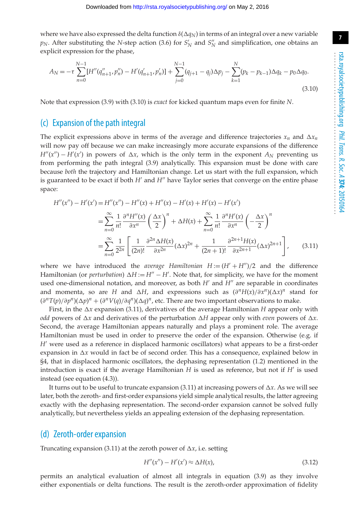where we have also expressed the delta function  $\delta(\Delta q_N)$  in terms of an integral over a new variable  $p_N$ . After substituting the *N*-step action (3.6) for  $S'_N$  and  $S''_N$  and simplification, one obtains an explicit expression for the phase,

$$
A_N = -\tau \sum_{n=0}^{N-1} [H''(q''_{n+1}, p''_n) - H'(q'_{n+1}, p'_n)] + \sum_{j=0}^{N-1} (q_{j+1} - q_j) \Delta p_j - \sum_{k=1}^{N} (p_k - p_{k-1}) \Delta q_k - p_0 \Delta q_0.
$$
\n(3.10)

Note that expression (3.9) with (3.10) is *exact* for kicked quantum maps even for finite *N*.

### (c) Expansion of the path integral

The explicit expressions above in terms of the average and difference trajectories  $x_n$  and  $\Delta x_n$ will now pay off because we can make increasingly more accurate expansions of the difference  $H''(x'') - H'(x')$  in powers of  $\Delta x$ , which is the only term in the exponent  $A_N$  preventing us from performing the path integral (3.9) analytically. This expansion must be done with care because *both* the trajectory and Hamiltonian change. Let us start with the full expansion, which is guaranteed to be exact if both *H'* and *H"* have Taylor series that converge on the entire phase space:

$$
H''(x'') - H'(x') = H''(x'') - H''(x) + H''(x) - H'(x) + H'(x) - H'(x')
$$
  
= 
$$
\sum_{n=0}^{\infty} \frac{1}{n!} \frac{\partial^n H''(x)}{\partial x^n} \left(\frac{\Delta x}{2}\right)^n + \Delta H(x) + \sum_{n=0}^{\infty} \frac{1}{n!} \frac{\partial^n H'(x)}{\partial x^n} \left(-\frac{\Delta x}{2}\right)^n
$$
  
= 
$$
\sum_{n=0}^{\infty} \frac{1}{2^{2n}} \left[ \frac{1}{(2n)!} \frac{\partial^{2n} \Delta H(x)}{\partial x^{2n}} (\Delta x)^{2n} + \frac{1}{(2n+1)!} \frac{\partial^{2n+1} H(x)}{\partial x^{2n+1}} (\Delta x)^{2n+1} \right],
$$
(3.11)

where we have introduced the *average Hamiltonian*  $H := (H' + H'')/2$  and the difference Hamiltonian (or *perturbation*) ∆*H* := *H<sup>"</sup>* – *H'*. Note that, for simplicity, we have for the moment used one-dimensional notation, and moreover, as both  $H'$  and  $H''$  are separable in coordinates and momenta, so are *H* and  $\Delta H$ , and expressions such as  $(\partial^n H(x)/\partial x^n)(\Delta x)^n$  stand for  $(\partial^n T(p)/\partial p^n)(\Delta p)^n + (\partial^n V(q)/\partial q^n)(\Delta q)^n$ , etc. There are two important observations to make.

First, in the  $\Delta x$  expansion (3.11), derivatives of the average Hamiltonian *H* appear only with *odd* powers of  $\Delta x$  and derivatives of the perturbation  $\Delta H$  appear only with *even* powers of  $\Delta x$ . Second, the average Hamiltonian appears naturally and plays a prominent role. The average Hamiltonian must be used in order to preserve the order of the expansion. Otherwise (e.g. if *H'* were used as a reference in displaced harmonic oscillators) what appears to be a first-order expansion in  $\Delta x$  would in fact be of second order. This has a consequence, explained below in §4, that in displaced harmonic oscillators, the dephasing representation (1.2) mentioned in the introduction is exact if the average Hamiltonian  $H$  is used as reference, but not if  $H'$  is used instead (see equation (4.3)).

It turns out to be useful to truncate expansion (3.11) at increasing powers of  $\Delta x$ . As we will see later, both the zeroth- and first-order expansions yield simple analytical results, the latter agreeing exactly with the dephasing representation. The second-order expansion cannot be solved fully analytically, but nevertheless yields an appealing extension of the dephasing representation.

#### (d) Zeroth-order expansion

Truncating expansion (3.11) at the zeroth power of  $\Delta x$ , i.e. setting

$$
H''(x'') - H'(x') \approx \Delta H(x),\tag{3.12}
$$

permits an analytical evaluation of almost all integrals in equation (3.9) as they involve either exponentials or delta functions. The result is the zeroth-order approximation of fidelity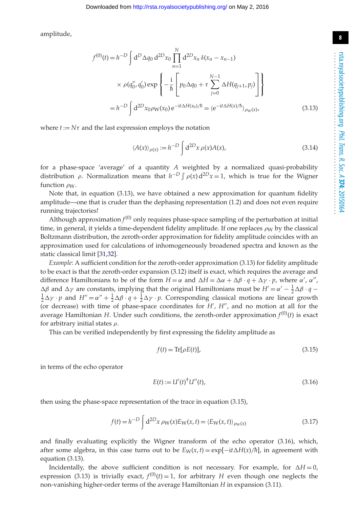**8**

amplitude,

$$
f^{(0)}(t) = h^{-D} \int d^{D} \Delta q_{0} d^{2D} x_{0} \prod_{n=1}^{N} d^{2D} x_{n} \delta(x_{n} - x_{n-1})
$$
  
 
$$
\times \rho(q_{0}'', q_{0}') \exp \left\{-\frac{i}{\hbar} \left[p_{0} \Delta q_{0} + \tau \sum_{j=0}^{N-1} \Delta H(q_{j+1}, p_{j})\right]\right\}
$$
  
=  $h^{-D} \int d^{2D} x_{0} \rho_{W}(x_{0}) e^{-it\Delta H(x_{0})/\hbar} = \langle e^{-it\Delta H(x)/\hbar} \rangle_{\rho_{W}(x)},$  (3.13)

where  $t := N\tau$  and the last expression employs the notation

$$
\langle A(x) \rangle_{\rho(x)} := h^{-D} \int d^{2D}x \, \rho(x) A(x), \tag{3.14}
$$

for a phase-space 'average' of a quantity *A* weighted by a normalized quasi-probability distribution  $\rho$ . Normalization means that  $h^{-D} \int \rho(x) d^{2D}x = 1$ , which is true for the Wigner function  $\rho_W$ .

Note that, in equation (3.13), we have obtained a new approximation for quantum fidelity amplitude—one that is cruder than the dephasing representation (1.2) and does not even require running trajectories!

Although approximation  $f^{(0)}$  only requires phase-space sampling of the perturbation at initial time, in general, it yields a time-dependent fidelity amplitude. If one replaces  $\rho_W$  by the classical Boltzmann distribution, the zeroth-order approximation for fidelity amplitude coincides with an approximation used for calculations of inhomogeneously broadened spectra and known as the static classical limit [\[31](#page-13-23)[,32\]](#page-13-15).

*Example*: A sufficient condition for the zeroth-order approximation (3.13) for fidelity amplitude to be exact is that the zeroth-order expansion (3.12) itself is exact, which requires the average and difference Hamiltonians to be of the form  $H = \alpha$  and  $\Delta H = \Delta \alpha + \Delta \beta \cdot q + \Delta \gamma \cdot p$ , where  $\alpha'$ ,  $\alpha''$ ,  $\Delta \beta$  and  $\Delta \gamma$  are constants, implying that the original Hamiltonians must be  $H' = \alpha' - \frac{1}{2} \Delta \beta \cdot q - \frac{1}{2} \Delta \gamma \cdot n$  and  $H'' - \alpha'' + \frac{1}{2} \Delta \beta \cdot q + \frac{1}{2} \Delta \gamma \cdot n$  Corresponding classical motions are linear growth  $\frac{1}{2}\Delta\gamma \cdot p$  and  $H'' = \alpha'' + \frac{1}{2}\Delta\beta \cdot q + \frac{1}{2}\Delta\gamma \cdot p$ . Corresponding classical motions are linear growth (or decrease) with time of phase-space coordinates for *H'*, *H''*, and no motion at all for the average Hamiltonian *H*. Under such conditions, the zeroth-order approximation  $f^{(0)}(t)$  is exact for arbitrary initial states  $\rho$ .

This can be verified independently by first expressing the fidelity amplitude as

$$
f(t) = \text{Tr}[\rho E(t)],\tag{3.15}
$$

in terms of the echo operator

$$
E(t) := U'(t)^{\dagger} U''(t), \tag{3.16}
$$

then using the phase-space representation of the trace in equation (3.15),

$$
f(t) = h^{-D} \int d^{2D}x \, \rho_W(x) E_W(x, t) = \langle E_W(x, t) \rangle_{\rho_W(x)}
$$
\n(3.17)

and finally evaluating explicitly the Wigner transform of the echo operator (3.16), which, after some algebra, in this case turns out to be  $E_W(x,t) = \exp[-i\frac{\lambda H(x)}{\hbar}]$ , in agreement with equation (3.13).

Incidentally, the above sufficient condition is not necessary. For example, for  $\Delta H = 0$ , expression (3.13) is trivially exact,  $f^{(0)}(t) = 1$ , for arbitrary *H* even though one neglects the non-vanishing higher-order terms of the average Hamiltonian *H* in expansion (3.11).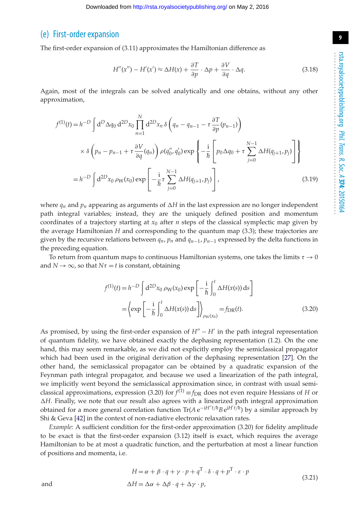### (e) First-order expansion

The first-order expansion of (3.11) approximates the Hamiltonian difference as

$$
H''(x'') - H'(x') \approx \Delta H(x) + \frac{\partial T}{\partial p} \cdot \Delta p + \frac{\partial V}{\partial q} \cdot \Delta q.
$$
 (3.18)

Again, most of the integrals can be solved analytically and one obtains, without any other approximation,

$$
f^{(1)}(t) = h^{-D} \int d^{D} \Delta q_{0} d^{2D} x_{0} \prod_{n=1}^{N} d^{2D} x_{n} \delta \left( q_{n} - q_{n-1} - \tau \frac{\partial T}{\partial p} (p_{n-1}) \right)
$$
  
\n
$$
\times \delta \left( p_{n} - p_{n-1} + \tau \frac{\partial V}{\partial q} (q_{n}) \right) \rho(q_{0}'' , q_{0}') \exp \left\{ -\frac{i}{\hbar} \left[ p_{0} \Delta q_{0} + \tau \sum_{j=0}^{N-1} \Delta H(q_{j+1}, p_{j}) \right] \right\}
$$
  
\n
$$
= h^{-D} \int d^{2D} x_{0} \rho_{W}(x_{0}) \exp \left[ -\frac{i}{\hbar} \tau \sum_{j=0}^{N-1} \Delta H(q_{j+1}, p_{j}) \right],
$$
 (3.19)

where  $q_n$  and  $p_n$  appearing as arguments of  $\Delta H$  in the last expression are no longer independent path integral variables; instead, they are the uniquely defined position and momentum coordinates of a trajectory starting at  $x_0$  after  $n$  steps of the classical symplectic map given by the average Hamiltonian *H* and corresponding to the quantum map (3.3); these trajectories are given by the recursive relations between  $q_n$ ,  $p_n$  and  $q_{n-1}$ ,  $p_{n-1}$  expressed by the delta functions in the preceding equation.

To return from quantum maps to continuous Hamiltonian systems, one takes the limits  $\tau \to 0$ and  $N \rightarrow \infty$ , so that  $N\tau = t$  is constant, obtaining

$$
f^{(1)}(t) = h^{-D} \int d^{2D}x_0 \, \rho_W(x_0) \exp\left[-\frac{i}{\hbar} \int_0^t \Delta H(x(s)) \, ds\right]
$$

$$
= \left\{ \exp\left[-\frac{i}{\hbar} \int_0^t \Delta H(x(s)) \, ds\right] \right\}_{\rho_W(x_0)} = f_{DR}(t). \tag{3.20}
$$

As promised, by using the first-order expansion of  $H'' - H'$  in the path integral representation of quantum fidelity, we have obtained exactly the dephasing representation (1.2). On the one hand, this may seem remarkable, as we did not explicitly employ the semiclassical propagator which had been used in the original derivation of the dephasing representation [\[27\]](#page-13-12). On the other hand, the semiclassical propagator can be obtained by a quadratic expansion of the Feynman path integral propagator, and because we used a linearization of the path integral, we implicitly went beyond the semiclassical approximation since, in contrast with usual semiclassical approximations, expression (3.20) for  $\hat{f}^{(1)} = f_{\text{DR}}$  does not even require Hessians of *H* or ΔH. Finally, we note that our result also agrees with a linearized path integral approximation obtained for a more general correlation function Tr(*A* e−i*Ht*/*h*¯ *B* ei*<sup>H</sup> <sup>t</sup>*/*h*¯ ) by a similar approach by Shi & Geva [\[42\]](#page-14-2) in the context of non-radiative electronic relaxation rates.

*Example*: A sufficient condition for the first-order approximation (3.20) for fidelity amplitude to be exact is that the first-order expansion (3.12) itself is exact, which requires the average Hamiltonian to be at most a quadratic function, and the perturbation at most a linear function of positions and momenta, i.e.

$$
H = \alpha + \beta \cdot q + \gamma \cdot p + q^{T} \cdot \delta \cdot q + p^{T} \cdot \varepsilon \cdot p
$$
  
and  

$$
\Delta H = \Delta \alpha + \Delta \beta \cdot q + \Delta \gamma \cdot p,
$$
 (3.21)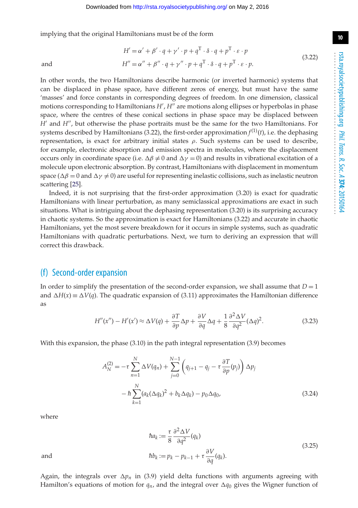implying that the original Hamiltonians must be of the form

scattering [\[25\]](#page-13-10).

$$
H' = \alpha' + \beta' \cdot q + \gamma' \cdot p + q^{T} \cdot \delta \cdot q + p^{T} \cdot \varepsilon \cdot p
$$
  
and  

$$
H'' = \alpha'' + \beta'' \cdot q + \gamma'' \cdot p + q^{T} \cdot \delta \cdot q + p^{T} \cdot \varepsilon \cdot p.
$$
 (3.22)

In other words, the two Hamiltonians describe harmonic (or inverted harmonic) systems that can be displaced in phase space, have different zeros of energy, but must have the same 'masses' and force constants in corresponding degrees of freedom. In one dimension, classical motions corresponding to Hamiltonians *H'* , *H''* are motions along ellipses or hyperbolas in phase space, where the centres of these conical sections in phase space may be displaced between *H'* and *H''*, but otherwise the phase portraits must be the same for the two Hamiltonians. For systems described by Hamiltonians (3.22), the first-order approximation  $f^{(1)}(t)$ , i.e. the dephasing representation, is exact for arbitrary initial states ρ. Such systems can be used to describe, for example, electronic absorption and emission spectra in molecules, where the displacement occurs only in coordinate space (i.e.  $\Delta \beta \neq 0$  and  $\Delta \gamma = 0$ ) and results in vibrational excitation of a molecule upon electronic absorption. By contrast, Hamiltonians with displacement in momentum space ( $\Delta\beta = 0$  and  $\Delta\gamma \neq 0$ ) are useful for representing inelastic collisions, such as inelastic neutron

Indeed, it is not surprising that the first-order approximation (3.20) is exact for quadratic Hamiltonians with linear perturbation, as many semiclassical approximations are exact in such situations. What is intriguing about the dephasing representation (3.20) is its surprising accuracy in chaotic systems. So the approximation is exact for Hamiltonians (3.22) and accurate in chaotic Hamiltonians, yet the most severe breakdown for it occurs in simple systems, such as quadratic Hamiltonians with quadratic perturbations. Next, we turn to deriving an expression that will correct this drawback.

## (f) Second-order expansion

In order to simplify the presentation of the second-order expansion, we shall assume that  $D = 1$ and  $\Delta H(x) \equiv \Delta V(q)$ . The quadratic expansion of (3.11) approximates the Hamiltonian difference as

$$
H''(x'') - H'(x') \approx \Delta V(q) + \frac{\partial T}{\partial p} \Delta p + \frac{\partial V}{\partial q} \Delta q + \frac{1}{8} \frac{\partial^2 \Delta V}{\partial q^2} (\Delta q)^2.
$$
 (3.23)

With this expansion, the phase (3.10) in the path integral representation (3.9) becomes

$$
A_N^{(2)} = -\tau \sum_{n=1}^N \Delta V(q_n) + \sum_{j=0}^{N-1} \left( q_{j+1} - q_j - \tau \frac{\partial T}{\partial p}(p_j) \right) \Delta p_j
$$
  
-  $\hbar \sum_{k=1}^N (a_k (\Delta q_k)^2 + b_k \Delta q_k) - p_0 \Delta q_0,$  (3.24)

where

$$
\hbar a_k := \frac{\tau}{8} \frac{\partial^2 \Delta V}{\partial q^2} (q_k)
$$
  
and  

$$
\hbar b_k := p_k - p_{k-1} + \tau \frac{\partial V}{\partial q} (q_k).
$$
 (3.25)

Again, the integrals over  $\Delta p_n$  in (3.9) yield delta functions with arguments agreeing with Hamilton's equations of motion for  $q_n$ , and the integral over  $\Delta q_0$  gives the Wigner function of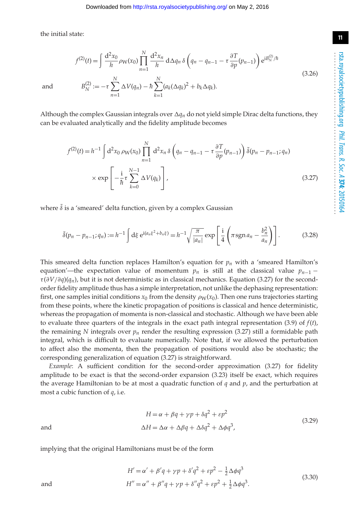the initial state:

$$
f^{(2)}(t) = \int \frac{d^2 x_0}{h} \rho_W(x_0) \prod_{n=1}^N \frac{d^2 x_n}{h} d\Delta q_n \delta \left(q_n - q_{n-1} - \tau \frac{\partial T}{\partial p}(p_{n-1})\right) e^{iB_N^{(2)}/\hbar}
$$
  
and 
$$
B_N^{(2)} := -\tau \sum^N \Delta V(q_n) - \hbar \sum^N (a_k (\Delta q_k)^2 + b_k \Delta q_k).
$$
 (3.26)

 $(a_k(\Delta q_k)^2 + b_k\Delta q_k).$ 

Although the complex Gaussian integrals over  $\Delta q_n$  do not yield simple Dirac delta functions, they can be evaluated analytically and the fidelity amplitude becomes

*k*=1

$$
f^{(2)}(t) = h^{-1} \int d^2x_0 \, \rho_W(x_0) \prod_{n=1}^N d^2x_n \, \delta\left(q_n - q_{n-1} - \tau \frac{\partial T}{\partial p}(p_{n-1})\right) \tilde{\delta}(p_n - p_{n-1}; q_n)
$$

$$
\times \exp\left[-\frac{i}{\hbar} \tau \sum_{k=0}^{N-1} \Delta V(q_k)\right],
$$
(3.27)

where  $\tilde{\delta}$  is a 'smeared' delta function, given by a complex Gaussian

*n*=1

$$
\tilde{\delta}(p_n - p_{n-1}; q_n) := h^{-1} \int d\xi \; e^{i(a_n \xi^2 + b_n \xi)} = h^{-1} \sqrt{\frac{\pi}{|a_n|}} \exp\left[\frac{i}{4} \left(\pi \operatorname{sgn} a_n - \frac{b_n^2}{a_n}\right)\right].\tag{3.28}
$$

This smeared delta function replaces Hamilton's equation for  $p_n$  with a 'smeared Hamilton's equation'—the expectation value of momentum  $p_n$  is still at the classical value  $p_{n-1}$  − τ (∂*V*/∂*q*)(*qn*), but it is not deterministic as in classical mechanics. Equation (3.27) for the secondorder fidelity amplitude thus has a simple interpretation, not unlike the dephasing representation: first, one samples initial conditions  $x_0$  from the density  $\rho_W(x_0)$ . Then one runs trajectories starting from these points, where the kinetic propagation of positions is classical and hence deterministic, whereas the propagation of momenta is non-classical and stochastic. Although we have been able to evaluate three quarters of the integrals in the exact path integral representation (3.9) of *f*(*t*), the remaining *N* integrals over  $p_n$  render the resulting expression (3.27) still a formidable path integral, which is difficult to evaluate numerically. Note that, if we allowed the perturbation to affect also the momenta, then the propagation of positions would also be stochastic; the corresponding generalization of equation (3.27) is straightforward.

*Example*: A sufficient condition for the second-order approximation (3.27) for fidelity amplitude to be exact is that the second-order expansion (3.23) itself be exact, which requires the average Hamiltonian to be at most a quadratic function of *q* and *p*, and the perturbation at most a cubic function of *q*, i.e.

$$
H = \alpha + \beta q + \gamma p + \delta q^2 + \varepsilon p^2
$$
  
and  

$$
\Delta H = \Delta \alpha + \Delta \beta q + \Delta \delta q^2 + \Delta \phi q^3,
$$
 (3.29)

implying that the original Hamiltonians must be of the form

and 
$$
H' = \alpha' + \beta'q + \gamma p + \delta'q^{2} + \epsilon p^{2} - \frac{1}{2}\Delta\phi q^{3}
$$

$$
H'' = \alpha'' + \beta''q + \gamma p + \delta''q^{2} + \epsilon p^{2} + \frac{1}{2}\Delta\phi q^{3}.
$$
(3.30)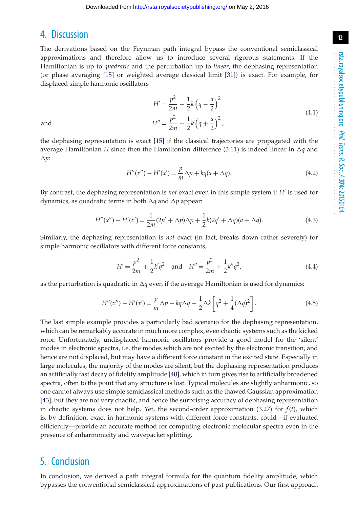## 4. Discussion

The derivations based on the Feynman path integral bypass the conventional semiclassical approximations and therefore allow us to introduce several rigorous statements. If the Hamiltonian is up to *quadratic* and the perturbation up to *linear*, the dephasing representation (or phase averaging [\[15\]](#page-13-1) or weighted average classical limit [\[31\]](#page-13-23)) is exact. For example, for displaced simple harmonic oscillators

$$
H' = \frac{p^2}{2m} + \frac{1}{2}k\left(q - \frac{a}{2}\right)^2
$$
  
and  

$$
H'' = \frac{p^2}{2m} + \frac{1}{2}k\left(q + \frac{a}{2}\right)^2,
$$
 (4.1)

the dephasing representation is exact [\[15\]](#page-13-1) if the classical trajectories are propagated with the average Hamiltonian *H* since then the Hamiltonian difference (3.11) is indeed linear in  $\Delta q$  and  $\Delta p$ :

$$
H''(x'') - H'(x') = \frac{p}{m}\Delta p + kq(a + \Delta q). \tag{4.2}
$$

By contrast, the dephasing representation is *not* exact even in this simple system if *H* is used for dynamics, as quadratic terms in both  $\Delta q$  and  $\Delta p$  appear:

$$
H''(x'') - H'(x') = \frac{1}{2m}(2p' + \Delta p)\Delta p + \frac{1}{2}k(2q' + \Delta q)(a + \Delta q). \tag{4.3}
$$

Similarly, the dephasing representation is *not* exact (in fact, breaks down rather severely) for simple harmonic oscillators with different force constants,

$$
H' = \frac{p^2}{2m} + \frac{1}{2}k'q^2 \quad \text{and} \quad H'' = \frac{p^2}{2m} + \frac{1}{2}k''q^2,
$$
 (4.4)

as the perturbation is quadratic in  $\Delta q$  even if the average Hamiltonian is used for dynamics:

$$
H''(x'') - H'(x') = \frac{p}{m}\Delta p + kq\Delta q + \frac{1}{2}\Delta k \left[q^2 + \frac{1}{4}(\Delta q)^2\right].
$$
\n(4.5)

The last simple example provides a particularly bad scenario for the dephasing representation, which can be remarkably accurate in much more complex, even chaotic systems such as the kicked rotor. Unfortunately, undisplaced harmonic oscillators provide a good model for the 'silent' modes in electronic spectra, i.e. the modes which are not excited by the electronic transition, and hence are not displaced, but may have a different force constant in the excited state. Especially in large molecules, the majority of the modes are silent, but the dephasing representation produces an artificially fast decay of fidelity amplitude [\[40\]](#page-14-0), which in turn gives rise to artificially broadened spectra, often to the point that any structure is lost. Typical molecules are slightly anharmonic, so one cannot always use simple semiclassical methods such as the thawed Gaussian approximation [\[43\]](#page-14-3), but they are not very chaotic, and hence the surprising accuracy of dephasing representation in chaotic systems does not help. Yet, the second-order approximation (3.27) for *f*(*t*), which is, by definition, exact in harmonic systems with different force constants, could—if evaluated efficiently—provide an accurate method for computing electronic molecular spectra even in the presence of anharmonicity and wavepacket splitting.

## 5. Conclusion

In conclusion, we derived a path integral formula for the quantum fidelity amplitude, which bypasses the conventional semiclassical approximations of past publications. Our first approach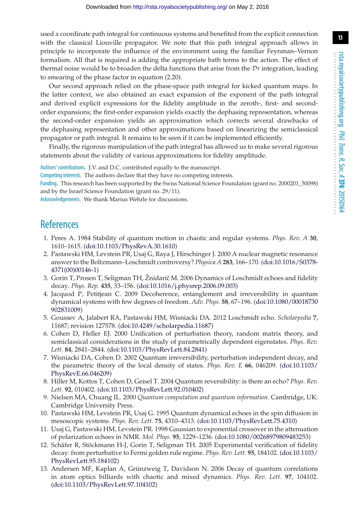**13**

used a coordinate path integral for continuous systems and benefited from the explicit connection with the classical Liouville propagator. We note that this path integral approach allows in principle to incorporate the influence of the environment using the familiar Feynman–Vernon formalism. All that is required is adding the appropriate bath terms to the action. The effect of thermal noise would be to broaden the delta functions that arise from the *Dr* integration, leading to smearing of the phase factor in equation (2.20).

Our second approach relied on the phase-space path integral for kicked quantum maps. In the latter context, we also obtained an exact expansion of the exponent of the path integral and derived explicit expressions for the fidelity amplitude in the zeroth-, first- and secondorder expansions; the first-order expansion yields exactly the dephasing representation, whereas the second-order expansion yields an approximation which corrects several drawbacks of the dephasing representation and other approximations based on linearizing the semiclassical propagator or path integral. It remains to be seen if it can be implemented efficiently.

Finally, the rigorous manipulation of the path integral has allowed us to make several rigorous statements about the validity of various approximations for fidelity amplitude.

Authors' contributions. J.V. and D.C. contributed equally to the manuscript.

Competing interests. The authors declare that they have no competing interests.

Funding. This research has been supported by the Swiss National Science Foundation (grant no. 2000201\_50098) and by the Israel Science Foundation (grant no. 29/11).

Acknowledgements. We thank Marius Wehrle for discussions.

## <span id="page-12-0"></span>**References**

- 1. Peres A. 1984 Stability of quantum motion in chaotic and regular systems. *Phys. Rev. A* **30**, 1610–1615. [\(doi:10.1103/PhysRevA.30.1610\)](http://dx.doi.org/doi:10.1103/PhysRevA.30.1610)
- <span id="page-12-1"></span>2. Pastawski HM, Levstein PR, Usaj G, Raya J, Hirschinger J. 2000 A nuclear magnetic resonance answer to the Boltzmann–Loschmidt controversy? *Physica A* **283**, 166–170. [\(doi:10.1016/S0378-](http://dx.doi.org/doi:10.1016/S0378-4371(00)00146-1) [4371\(00\)00146-1\)](http://dx.doi.org/doi:10.1016/S0378-4371(00)00146-1)
- <span id="page-12-2"></span>3. Gorin T, Prosen T, Seligman TH, Žnidarič M. 2006 Dynamics of Loschmidt echoes and fidelity decay. *Phys. Rep.* **435**, 33–156. [\(doi:10.1016/j.physrep.2006.09.003\)](http://dx.doi.org/doi:10.1016/j.physrep.2006.09.003)
- 4. Jacquod P, Petitjean C. 2009 Decoherence, entanglement and irreversibility in quantum dynamical systems with few degrees of freedom. *Adv. Phys.* **58**, 67–196. [\(doi:10.1080/00018730](http://dx.doi.org/doi:10.1080/00018730902831009) [902831009\)](http://dx.doi.org/doi:10.1080/00018730902831009)
- <span id="page-12-3"></span>5. Goussev A, Jalabert RA, Pastawski HM, Wisniacki DA. 2012 Loschmidt echo. *Scholarpedia* **7**, 11687; revision 127578. [\(doi:10.4249/scholarpedia.11687\)](http://dx.doi.org/doi:10.4249/scholarpedia.11687)
- <span id="page-12-4"></span>6. Cohen D, Heller EJ. 2000 Unification of perturbation theory, random matrix theory, and semiclassical considerations in the study of parametrically dependent eigenstates. *Phys. Rev. Lett.* **84**, 2841–2844. [\(doi:10.1103/PhysRevLett.84.2841\)](http://dx.doi.org/doi:10.1103/PhysRevLett.84.2841)
- <span id="page-12-5"></span>7. Wisniacki DA, Cohen D. 2002 Quantum irreversibility, perturbation independent decay, and the parametric theory of the local density of states. *Phys. Rev. E* **66**, 046209. [\(doi:10.1103/](http://dx.doi.org/doi:10.1103/PhysRevE.66.046209) [PhysRevE.66.046209\)](http://dx.doi.org/doi:10.1103/PhysRevE.66.046209)
- <span id="page-12-6"></span>8. Hiller M, Kottos T, Cohen D, Geisel T. 2004 Quantum reversibility: is there an echo? *Phys. Rev. Lett.* **92**, 010402. [\(doi:10.1103/PhysRevLett.92.010402\)](http://dx.doi.org/doi:10.1103/PhysRevLett.92.010402)
- <span id="page-12-7"></span>9. Nielsen MA, Chuang IL. 2000 *Quantum computation and quantum information*. Cambridge, UK: Cambridge University Press.
- <span id="page-12-8"></span>10. Pastawski HM, Levstein PR, Usaj G. 1995 Quantum dynamical echoes in the spin diffusion in mesoscopic systems. *Phys. Rev. Lett.* **75**, 4310–4313. [\(doi:10.1103/PhysRevLett.75.4310\)](http://dx.doi.org/doi:10.1103/PhysRevLett.75.4310)
- <span id="page-12-9"></span>11. Usaj G, Pastawski HM, Levstein PR. 1998 Gaussian to exponential crossover in the attenuation of polarization echoes in NMR. *Mol. Phys.* **95**, 1229–1236. [\(doi:10.1080/00268979809483253\)](http://dx.doi.org/doi:10.1080/00268979809483253)
- <span id="page-12-10"></span>12. Schäfer R, Stöckmann H-J, Gorin T, Seligman TH. 2005 Experimental verification of fidelity decay: from perturbative to Fermi golden rule regime. *Phys. Rev. Lett.* **95**, 184102. [\(doi:10.1103/](http://dx.doi.org/doi:10.1103/PhysRevLett.95.184102) [PhysRevLett.95.184102\)](http://dx.doi.org/doi:10.1103/PhysRevLett.95.184102)
- <span id="page-12-11"></span>13. Andersen MF, Kaplan A, Grünzweig T, Davidson N. 2006 Decay of quantum correlations in atom optics billiards with chaotic and mixed dynamics. *Phys. Rev. Lett.* **97**, 104102. [\(doi:10.1103/PhysRevLett.97.104102\)](http://dx.doi.org/doi:10.1103/PhysRevLett.97.104102)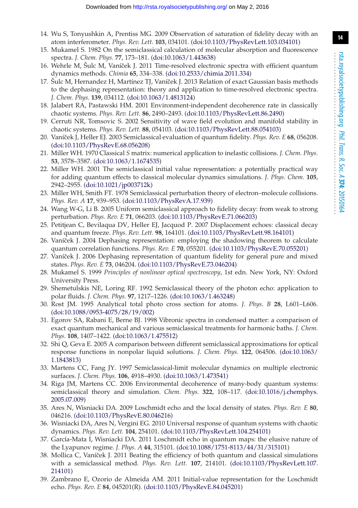**14**

- <span id="page-13-0"></span>14. Wu S, Tonyushkin A, Prentiss MG. 2009 Observation of saturation of fidelity decay with an atom interferometer. *Phys. Rev. Lett.* **103**, 034101. [\(doi:10.1103/PhysRevLett.103.034101\)](http://dx.doi.org/doi:10.1103/PhysRevLett.103.034101)
- <span id="page-13-1"></span>15. Mukamel S. 1982 On the semiclassical calculation of molecular absorption and fluorescence spectra. *J. Chem. Phys.* **77**, 173–181. [\(doi:10.1063/1.443638\)](http://dx.doi.org/doi:10.1063/1.443638)
- <span id="page-13-20"></span>16. Wehrle M, Šulc M, Vaníˇcek J. 2011 Time-resolved electronic spectra with efficient quantum dynamics methods. *Chimia* **65**, 334–338. [\(doi:10.2533/chimia.2011.334\)](http://dx.doi.org/doi:10.2533/chimia.2011.334)
- <span id="page-13-2"></span>17. Šulc M, Hernandez H, Martínez TJ, Vaníček J. 2013 Relation of exact Gaussian basis methods to the dephasing representation: theory and application to time-resolved electronic spectra. *J. Chem. Phys.* **139**, 034112. [\(doi:10.1063/1.4813124\)](http://dx.doi.org/doi:10.1063/1.4813124)
- <span id="page-13-3"></span>18. Jalabert RA, Pastawski HM. 2001 Environment-independent decoherence rate in classically chaotic systems. *Phys. Rev. Lett.* **86**, 2490–2493. [\(doi:10.1103/PhysRevLett.86.2490\)](http://dx.doi.org/doi:10.1103/PhysRevLett.86.2490)
- <span id="page-13-4"></span>19. Cerruti NR, Tomsovic S. 2002 Sensitivity of wave field evolution and manifold stability in chaotic systems. *Phys. Rev. Lett.* **88**, 054103. [\(doi:10.1103/PhysRevLett.88.054103\)](http://dx.doi.org/doi:10.1103/PhysRevLett.88.054103)
- <span id="page-13-5"></span>20. Vaníˇcek J, Heller EJ. 2003 Semiclassical evaluation of quantum fidelity. *Phys. Rev. E* **68**, 056208. [\(doi:10.1103/PhysRevE.68.056208\)](http://dx.doi.org/doi:10.1103/PhysRevE.68.056208)
- <span id="page-13-6"></span>21. Miller WH. 1970 Classical *S* matrix: numerical application to inelastic collisions. *J. Chem. Phys.* **53**, 3578–3587. [\(doi:10.1063/1.1674535\)](http://dx.doi.org/doi:10.1063/1.1674535)
- <span id="page-13-7"></span>22. Miller WH. 2001 The semiclassical initial value representation: a potentially practical way for adding quantum effects to classical molecular dynamics simulations. *J. Phys. Chem.* **105**, 2942–2955. [\(doi:10.1021/jp003712k\)](http://dx.doi.org/doi:10.1021/jp003712k)
- <span id="page-13-8"></span>23. Miller WH, Smith FT. 1978 Semiclassical perturbation theory of electron–molecule collisions. *Phys. Rev. A* **17**, 939–953. [\(doi:10.1103/PhysRevA.17.939\)](http://dx.doi.org/doi:10.1103/PhysRevA.17.939)
- <span id="page-13-9"></span>24. Wang W-G, Li B. 2005 Uniform semiclassical approach to fidelity decay: from weak to strong perturbation. *Phys. Rev. E* **71**, 066203. [\(doi:10.1103/PhysRevE.71.066203\)](http://dx.doi.org/doi:10.1103/PhysRevE.71.066203)
- <span id="page-13-10"></span>25. Petitjean C, Bevilaqua DV, Heller EJ, Jacquod P. 2007 Displacement echoes: classical decay and quantum freeze. *Phys. Rev. Lett.* **98**, 164101. [\(doi:10.1103/PhysRevLett.98.164101\)](http://dx.doi.org/doi:10.1103/PhysRevLett.98.164101)
- <span id="page-13-11"></span>26. Vaníček J. 2004 Dephasing representation: employing the shadowing theorem to calculate quantum correlation functions. *Phys. Rev. E* **70**, 055201. [\(doi:10.1103/PhysRevE.70.055201\)](http://dx.doi.org/doi:10.1103/PhysRevE.70.055201)
- <span id="page-13-12"></span>27. Vaníček J. 2006 Dephasing representation of quantum fidelity for general pure and mixed states. *Phys. Rev. E* **73**, 046204. [\(doi:10.1103/PhysRevE.73.046204\)](http://dx.doi.org/doi:10.1103/PhysRevE.73.046204)
- <span id="page-13-13"></span>28. Mukamel S. 1999 *Principles of nonlinear optical spectroscopy*, 1st edn. New York, NY: Oxford University Press.
- <span id="page-13-14"></span>29. Shemetulskis NE, Loring RF. 1992 Semiclassical theory of the photon echo: application to polar fluids. *J. Chem. Phys.* **97**, 1217–1226. [\(doi:10.1063/1.463248\)](http://dx.doi.org/doi:10.1063/1.463248)
- 30. Rost JM. 1995 Analytical total photo cross section for atoms. *J. Phys. B* **28**, L601–L606. [\(doi:10.1088/0953-4075/28/19/002\)](http://dx.doi.org/doi:10.1088/0953-4075/28/19/002)
- <span id="page-13-23"></span>31. Egorov SA, Rabani E, Berne BJ. 1998 Vibronic spectra in condensed matter: a comparison of exact quantum mechanical and various semiclassical treatments for harmonic baths. *J. Chem. Phys.* **108**, 1407–1422. [\(doi:10.1063/1.475512\)](http://dx.doi.org/doi:10.1063/1.475512)
- <span id="page-13-15"></span>32. Shi Q, Geva E. 2005 A comparison between different semiclassical approximations for optical response functions in nonpolar liquid solutions. *J. Chem. Phys.* **122**, 064506. [\(doi:10.1063/](http://dx.doi.org/doi:10.1063/1.1843813) [1.1843813\)](http://dx.doi.org/doi:10.1063/1.1843813)
- <span id="page-13-16"></span>33. Martens CC, Fang JY. 1997 Semiclassical-limit molecular dynamics on multiple electronic surfaces. *J. Chem. Phys.* **106**, 4918–4930. [\(doi:10.1063/1.473541\)](http://dx.doi.org/doi:10.1063/1.473541)
- <span id="page-13-17"></span>34. Riga JM, Martens CC. 2006 Environmental decoherence of many-body quantum systems: semiclassical theory and simulation. *Chem. Phys.* **322**, 108–117. [\(doi:10.1016/j.chemphys.](http://dx.doi.org/doi:10.1016/j.chemphys.2005.07.009) [2005.07.009\)](http://dx.doi.org/doi:10.1016/j.chemphys.2005.07.009)
- <span id="page-13-18"></span>35. Ares N, Wisniacki DA. 2009 Loschmidt echo and the local density of states. *Phys. Rev. E* **80**, 046216. [\(doi:10.1103/PhysRevE.80.046216\)](http://dx.doi.org/doi:10.1103/PhysRevE.80.046216)
- 36. Wisniacki DA, Ares N, Vergini EG. 2010 Universal response of quantum systems with chaotic dynamics. *Phys. Rev. Lett.* **104**, 254101. [\(doi:10.1103/PhysRevLett.104.254101\)](http://dx.doi.org/doi:10.1103/PhysRevLett.104.254101)
- <span id="page-13-19"></span>37. García-Mata I, Wisniacki DA. 2011 Loschmidt echo in quantum maps: the elusive nature of the Lyapunov regime. *J. Phys. A* **44**, 315101. [\(doi:10.1088/1751-8113/44/31/315101\)](http://dx.doi.org/doi:10.1088/1751-8113/44/31/315101)
- <span id="page-13-21"></span>38. Mollica C, Vaníček J. 2011 Beating the efficiency of both quantum and classical simulations with a semiclassical method. *Phys. Rev. Lett.* **107**, 214101. [\(doi:10.1103/PhysRevLett.107.](http://dx.doi.org/doi:10.1103/PhysRevLett.107.214101) [214101\)](http://dx.doi.org/doi:10.1103/PhysRevLett.107.214101)
- <span id="page-13-22"></span>39. Zambrano E, Ozorio de Almeida AM. 2011 Initial-value representation for the Loschmidt echo. *Phys. Rev. E* **84**, 045201(R). [\(doi:10.1103/PhysRevE.84.045201\)](http://dx.doi.org/doi:10.1103/PhysRevE.84.045201)